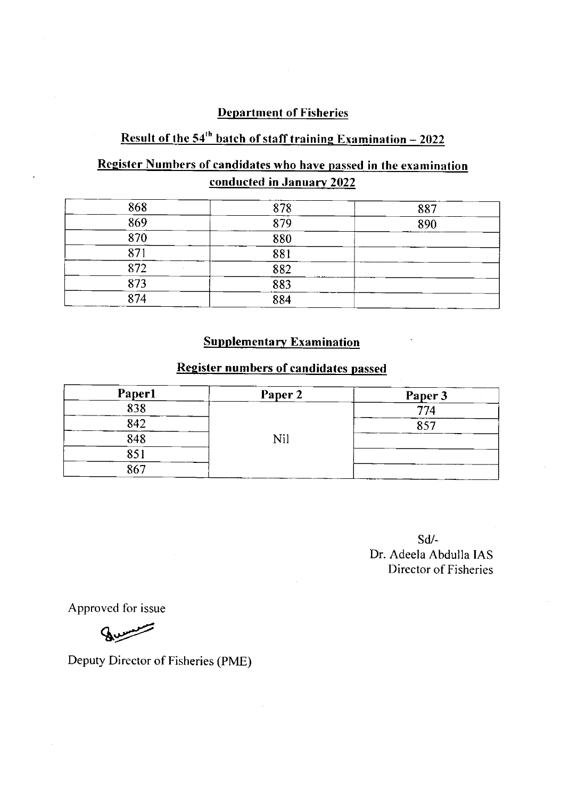## **Department of Fisheries**

# Result of the  $54<sup>th</sup>$  batch of staff training Examination  $-2022$

## Register Numbers of candidates who have passed in the examination conducted in January 2022

| 868 | 878 | 887 |
|-----|-----|-----|
| 869 | 879 | 890 |
| 870 | 880 |     |
| 871 | 881 |     |
| 872 | 882 |     |
| 873 | 883 |     |
| 874 | 884 |     |

#### **Supplementary Examination**

### Register numbers of candidates passed

| <b>Paper1</b> | Paper 2 | Paper 3 |
|---------------|---------|---------|
| 838           |         | 774     |
| 842           |         | 857     |
| 848           | Nil     |         |
| 851           |         |         |
| 867           |         |         |

sd/- Dr. Adeela Abdulla IAS Director of Fisheries

Approved for issue

Burning

Deputy Director of Fisheries (PME)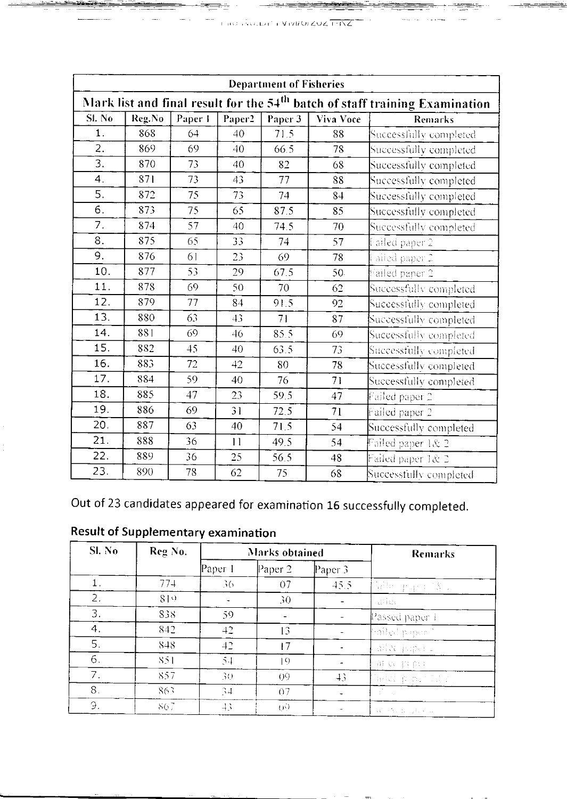| <b>Department of Fisheries</b>                                                          |        |         |                |         |           |                                       |  |
|-----------------------------------------------------------------------------------------|--------|---------|----------------|---------|-----------|---------------------------------------|--|
| Mark list and final result for the 54 <sup>th</sup> batch of staff training Examination |        |         |                |         |           |                                       |  |
| SI. No                                                                                  | Reg.No | Paper I | Paper2         | Paper 3 | Viva Voce | <b>Remarks</b>                        |  |
| $1$ .                                                                                   | 868    | 64      | 40             | 71.5    | 88        | Successfully completed                |  |
| $\overline{2}$ .                                                                        | 869    | 69      | 40             | 66.5    | 78        | Successfully completed                |  |
| $\overline{3}$                                                                          | 870    | 73      | 40             | 82      | 68        | Successfully completed                |  |
| 4.                                                                                      | 871    | 73      | 43             | 77      | 88        | Successfully completed                |  |
| 5.                                                                                      | 872    | 75      | 73             | 74      | 84        | Successfully completed                |  |
| 6.                                                                                      | 873    | 75      | 65             | 87.5    | 85        | Successfully completed                |  |
| 7.                                                                                      | 874    | 57      | 40             | 74.5    | 70        | Successfully completed                |  |
| 8.                                                                                      | 875    | 65      | 33             | 74      | 57        | Failed paper 2                        |  |
| 9.                                                                                      | 876    | 61      | 23             | 69      | 78        | $\overline{\mathbb{F}}$ ailed paper 2 |  |
| 10.                                                                                     | 877    | 53      | 29             | 67.5    | 50        | Failed paper 2                        |  |
| 11.                                                                                     | 878    | 69      | 50             | 70      | 62        | Successfully completed                |  |
| 12.                                                                                     | 879    | 77      | 84             | 91.5    | 92        | Successfully completed                |  |
| 13.                                                                                     | 880    | 63      | 4 <sub>3</sub> | 71      | 87        | Successfully completed                |  |
| 14.                                                                                     | 881    | 69      | 46             | 85.5    | 69        | Successfully completed                |  |
| 15.                                                                                     | 882    | 45      | 40             | 63.5    | 73        | Successfully completed                |  |
| 16.                                                                                     | 883    | 72      | 42             | 80      | 78        | Successfully completed                |  |
| 17.                                                                                     | 884    | 59      | 40             | 76      | 71        | Successfully completed                |  |
| 18.                                                                                     | 885    | 47      | 23             | 59.5    | 47        | Failed paper 2                        |  |
| 19.                                                                                     | 886    | 69      | 31             | 72.5    | 71        | Failed paper 2                        |  |
| 20.                                                                                     | 887    | 63      | 40             | 71.5    | 54        | Successfully completed                |  |
| 21.                                                                                     | 888    | 36      | 11             | 49.5    | 54        | Failed paper 1& 2                     |  |
| 22.                                                                                     | 889    | 36      | 25             | 56.5    | 48        | Failed paper 1& 2                     |  |
| 23.                                                                                     | 890    | 78      | 62             | 75      | 68        | Successfully completed                |  |

Out of 23 candidates appeared for examination 16 successfully completed.

| $SL$ No | Reg No. | <b>Marks</b> obtained |                |                | <b>Remarks</b>                                        |
|---------|---------|-----------------------|----------------|----------------|-------------------------------------------------------|
|         |         | Paper 1               | Paper 2        | Paper $3$      |                                                       |
|         | 774     | 36                    | 07             | 45.5           | 偏無 手承 经差异                                             |
| 2.      | 819     |                       | 30             |                | alia                                                  |
| 3.      | 838     | 59                    |                |                | Passed paper 1                                        |
| 4.      | 842     | 42                    | 13             |                | frailed paper."                                       |
| 5.      | 848     | 42                    | 17             |                | aliz pipeu                                            |
| 6.      | 851     | $5 - 1$               | $\vert 9$      |                | 审查 取食物                                                |
| 7.      | 857     | 30                    | O <sub>0</sub> | $\overline{+}$ | Taska pora 11.17                                      |
| 8.      | 863     | 34                    | 07             |                | $\mathcal{A}^{\mathcal{N}_{\text{max}}}_{\text{max}}$ |
| 9.      | 867     | 43                    | QQ)            |                | Architectural Profiles                                |

**Result of Supplementary examination**